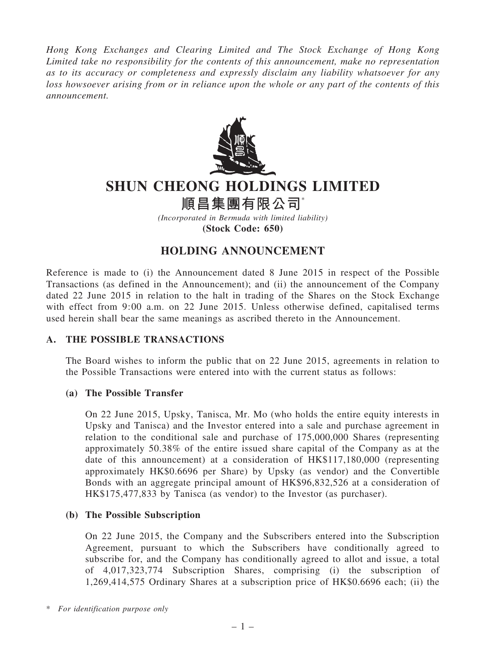Hong Kong Exchanges and Clearing Limited and The Stock Exchange of Hong Kong Limited take no responsibility for the contents of this announcement, make no representation as to its accuracy or completeness and expressly disclaim any liability whatsoever for any loss howsoever arising from or in reliance upon the whole or any part of the contents of this announcement.



# SHUN CHEONG HOLDINGS LIMITED

順昌集團有限公司\*

(Incorporated in Bermuda with limited liability) (Stock Code: 650)

# HOLDING ANNOUNCEMENT

Reference is made to (i) the Announcement dated 8 June 2015 in respect of the Possible Transactions (as defined in the Announcement); and (ii) the announcement of the Company dated 22 June 2015 in relation to the halt in trading of the Shares on the Stock Exchange with effect from 9:00 a.m. on 22 June 2015. Unless otherwise defined, capitalised terms used herein shall bear the same meanings as ascribed thereto in the Announcement.

# A. THE POSSIBLE TRANSACTIONS

The Board wishes to inform the public that on 22 June 2015, agreements in relation to the Possible Transactions were entered into with the current status as follows:

# (a) The Possible Transfer

On 22 June 2015, Upsky, Tanisca, Mr. Mo (who holds the entire equity interests in Upsky and Tanisca) and the Investor entered into a sale and purchase agreement in relation to the conditional sale and purchase of 175,000,000 Shares (representing approximately 50.38% of the entire issued share capital of the Company as at the date of this announcement) at a consideration of HK\$117,180,000 (representing approximately HK\$0.6696 per Share) by Upsky (as vendor) and the Convertible Bonds with an aggregate principal amount of HK\$96,832,526 at a consideration of HK\$175,477,833 by Tanisca (as vendor) to the Investor (as purchaser).

# (b) The Possible Subscription

On 22 June 2015, the Company and the Subscribers entered into the Subscription Agreement, pursuant to which the Subscribers have conditionally agreed to subscribe for, and the Company has conditionally agreed to allot and issue, a total of 4,017,323,774 Subscription Shares, comprising (i) the subscription of 1,269,414,575 Ordinary Shares at a subscription price of HK\$0.6696 each; (ii) the

<sup>\*</sup> For identification purpose only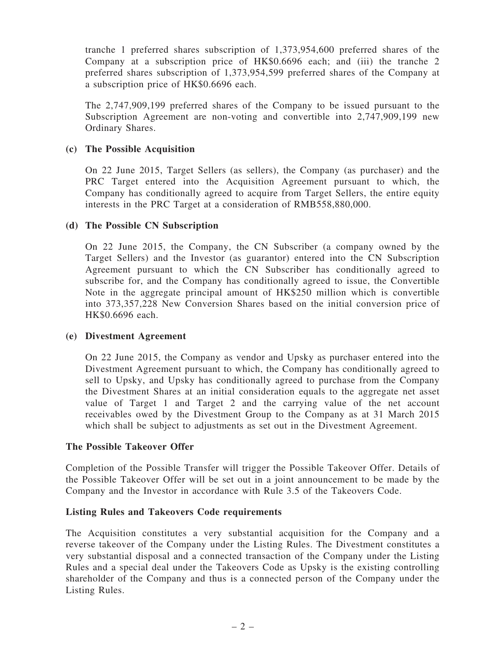tranche 1 preferred shares subscription of 1,373,954,600 preferred shares of the Company at a subscription price of HK\$0.6696 each; and (iii) the tranche 2 preferred shares subscription of 1,373,954,599 preferred shares of the Company at a subscription price of HK\$0.6696 each.

The 2,747,909,199 preferred shares of the Company to be issued pursuant to the Subscription Agreement are non-voting and convertible into 2,747,909,199 new Ordinary Shares.

#### (c) The Possible Acquisition

On 22 June 2015, Target Sellers (as sellers), the Company (as purchaser) and the PRC Target entered into the Acquisition Agreement pursuant to which, the Company has conditionally agreed to acquire from Target Sellers, the entire equity interests in the PRC Target at a consideration of RMB558,880,000.

## (d) The Possible CN Subscription

On 22 June 2015, the Company, the CN Subscriber (a company owned by the Target Sellers) and the Investor (as guarantor) entered into the CN Subscription Agreement pursuant to which the CN Subscriber has conditionally agreed to subscribe for, and the Company has conditionally agreed to issue, the Convertible Note in the aggregate principal amount of HK\$250 million which is convertible into 373,357,228 New Conversion Shares based on the initial conversion price of HK\$0.6696 each.

#### (e) Divestment Agreement

On 22 June 2015, the Company as vendor and Upsky as purchaser entered into the Divestment Agreement pursuant to which, the Company has conditionally agreed to sell to Upsky, and Upsky has conditionally agreed to purchase from the Company the Divestment Shares at an initial consideration equals to the aggregate net asset value of Target 1 and Target 2 and the carrying value of the net account receivables owed by the Divestment Group to the Company as at 31 March 2015 which shall be subject to adjustments as set out in the Divestment Agreement.

#### The Possible Takeover Offer

Completion of the Possible Transfer will trigger the Possible Takeover Offer. Details of the Possible Takeover Offer will be set out in a joint announcement to be made by the Company and the Investor in accordance with Rule 3.5 of the Takeovers Code.

#### Listing Rules and Takeovers Code requirements

The Acquisition constitutes a very substantial acquisition for the Company and a reverse takeover of the Company under the Listing Rules. The Divestment constitutes a very substantial disposal and a connected transaction of the Company under the Listing Rules and a special deal under the Takeovers Code as Upsky is the existing controlling shareholder of the Company and thus is a connected person of the Company under the Listing Rules.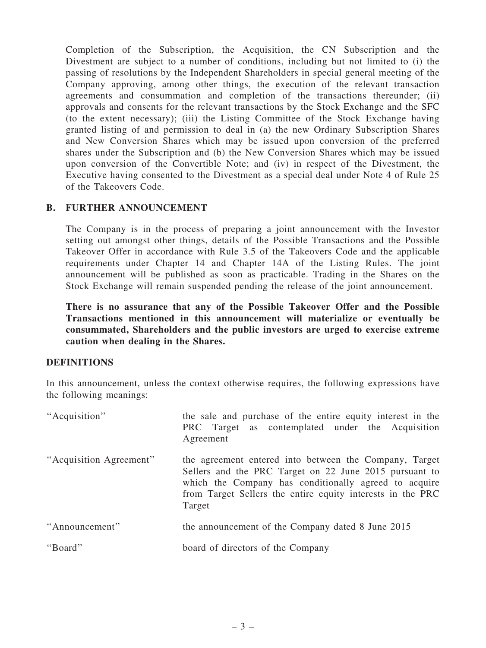Completion of the Subscription, the Acquisition, the CN Subscription and the Divestment are subject to a number of conditions, including but not limited to (i) the passing of resolutions by the Independent Shareholders in special general meeting of the Company approving, among other things, the execution of the relevant transaction agreements and consummation and completion of the transactions thereunder; (ii) approvals and consents for the relevant transactions by the Stock Exchange and the SFC (to the extent necessary); (iii) the Listing Committee of the Stock Exchange having granted listing of and permission to deal in (a) the new Ordinary Subscription Shares and New Conversion Shares which may be issued upon conversion of the preferred shares under the Subscription and (b) the New Conversion Shares which may be issued upon conversion of the Convertible Note; and (iv) in respect of the Divestment, the Executive having consented to the Divestment as a special deal under Note 4 of Rule 25 of the Takeovers Code.

## B. FURTHER ANNOUNCEMENT

The Company is in the process of preparing a joint announcement with the Investor setting out amongst other things, details of the Possible Transactions and the Possible Takeover Offer in accordance with Rule 3.5 of the Takeovers Code and the applicable requirements under Chapter 14 and Chapter 14A of the Listing Rules. The joint announcement will be published as soon as practicable. Trading in the Shares on the Stock Exchange will remain suspended pending the release of the joint announcement.

There is no assurance that any of the Possible Takeover Offer and the Possible Transactions mentioned in this announcement will materialize or eventually be consummated, Shareholders and the public investors are urged to exercise extreme caution when dealing in the Shares.

#### DEFINITIONS

In this announcement, unless the context otherwise requires, the following expressions have the following meanings:

| "Acquisition"           | the sale and purchase of the entire equity interest in the<br>PRC Target as contemplated under the Acquisition<br>Agreement                                                                                                                       |
|-------------------------|---------------------------------------------------------------------------------------------------------------------------------------------------------------------------------------------------------------------------------------------------|
| "Acquisition Agreement" | the agreement entered into between the Company, Target<br>Sellers and the PRC Target on 22 June 2015 pursuant to<br>which the Company has conditionally agreed to acquire<br>from Target Sellers the entire equity interests in the PRC<br>Target |
| "Announcement"          | the announcement of the Company dated 8 June 2015                                                                                                                                                                                                 |
| "Board"                 | board of directors of the Company                                                                                                                                                                                                                 |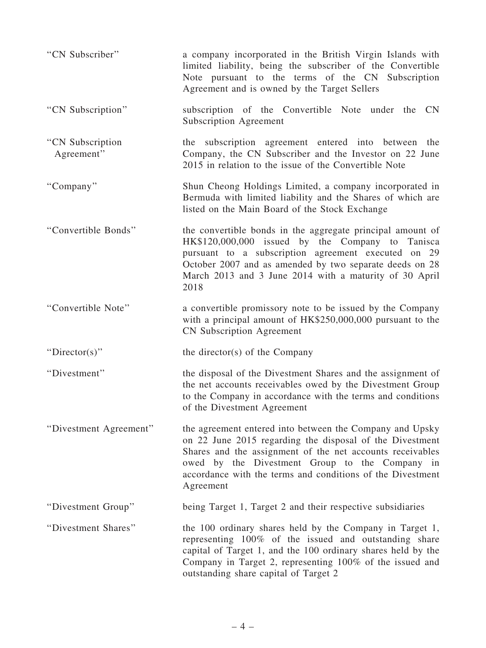| "CN Subscriber"                | a company incorporated in the British Virgin Islands with<br>limited liability, being the subscriber of the Convertible<br>Note pursuant to the terms of the CN Subscription<br>Agreement and is owned by the Target Sellers                                                                                   |
|--------------------------------|----------------------------------------------------------------------------------------------------------------------------------------------------------------------------------------------------------------------------------------------------------------------------------------------------------------|
| "CN Subscription"              | subscription of the Convertible Note under the<br><b>CN</b><br><b>Subscription Agreement</b>                                                                                                                                                                                                                   |
| "CN Subscription<br>Agreement" | the subscription agreement entered into between the<br>Company, the CN Subscriber and the Investor on 22 June<br>2015 in relation to the issue of the Convertible Note                                                                                                                                         |
| "Company"                      | Shun Cheong Holdings Limited, a company incorporated in<br>Bermuda with limited liability and the Shares of which are<br>listed on the Main Board of the Stock Exchange                                                                                                                                        |
| "Convertible Bonds"            | the convertible bonds in the aggregate principal amount of<br>HK\$120,000,000 issued by the Company to Tanisca<br>pursuant to a subscription agreement executed on 29<br>October 2007 and as amended by two separate deeds on 28<br>March 2013 and 3 June 2014 with a maturity of 30 April<br>2018             |
| "Convertible Note"             | a convertible promissory note to be issued by the Company<br>with a principal amount of HK\$250,000,000 pursuant to the<br><b>CN Subscription Agreement</b>                                                                                                                                                    |
| "Director(s)"                  | the director(s) of the Company                                                                                                                                                                                                                                                                                 |
| "Divestment"                   | the disposal of the Divestment Shares and the assignment of<br>the net accounts receivables owed by the Divestment Group<br>to the Company in accordance with the terms and conditions<br>of the Divestment Agreement                                                                                          |
| "Divestment Agreement"         | the agreement entered into between the Company and Upsky<br>on 22 June 2015 regarding the disposal of the Divestment<br>Shares and the assignment of the net accounts receivables<br>owed by the Divestment Group to the Company in<br>accordance with the terms and conditions of the Divestment<br>Agreement |
| "Divestment Group"             | being Target 1, Target 2 and their respective subsidiaries                                                                                                                                                                                                                                                     |
| "Divestment Shares"            | the 100 ordinary shares held by the Company in Target 1,<br>representing 100% of the issued and outstanding share<br>capital of Target 1, and the 100 ordinary shares held by the<br>Company in Target 2, representing 100% of the issued and<br>outstanding share capital of Target 2                         |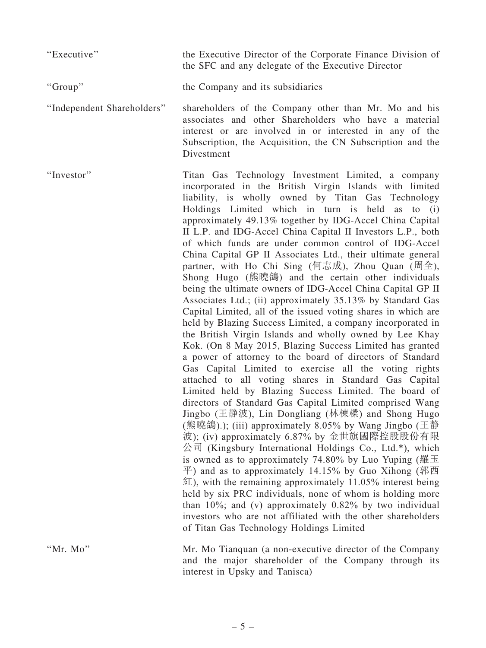''Executive'' the Executive Director of the Corporate Finance Division of the SFC and any delegate of the Executive Director

''Group'' the Company and its subsidiaries

''Independent Shareholders'' shareholders of the Company other than Mr. Mo and his associates and other Shareholders who have a material interest or are involved in or interested in any of the Subscription, the Acquisition, the CN Subscription and the Divestment

''Investor'' Titan Gas Technology Investment Limited, a company incorporated in the British Virgin Islands with limited liability, is wholly owned by Titan Gas Technology Holdings Limited which in turn is held as to (i) approximately 49.13% together by IDG-Accel China Capital II L.P. and IDG-Accel China Capital II Investors L.P., both of which funds are under common control of IDG-Accel China Capital GP II Associates Ltd., their ultimate general partner, with Ho Chi Sing (何志成), Zhou Quan (周全), Shong Hugo (熊曉鴿) and the certain other individuals being the ultimate owners of IDG-Accel China Capital GP II Associates Ltd.; (ii) approximately 35.13% by Standard Gas Capital Limited, all of the issued voting shares in which are held by Blazing Success Limited, a company incorporated in the British Virgin Islands and wholly owned by Lee Khay Kok. (On 8 May 2015, Blazing Success Limited has granted a power of attorney to the board of directors of Standard Gas Capital Limited to exercise all the voting rights attached to all voting shares in Standard Gas Capital Limited held by Blazing Success Limited. The board of directors of Standard Gas Capital Limited comprised Wang Jingbo (王靜波), Lin Dongliang (林棟樑) and Shong Hugo (熊曉鴿).); (iii) approximately 8.05% by Wang Jingbo (王靜 波); (iv) approximately 6.87% by 金世旗國際控股股份有限  $\triangle$ 司 (Kingsbury International Holdings Co., Ltd.\*), which is owned as to approximately 74.80% by Luo Yuping (羅玉)  $\overline{\mathcal{F}}$ ) and as to approximately 14.15% by Guo Xihong (郭西  $\mathbb{Z}$ ), with the remaining approximately 11.05% interest being held by six PRC individuals, none of whom is holding more than 10%; and (v) approximately 0.82% by two individual investors who are not affiliated with the other shareholders of Titan Gas Technology Holdings Limited

''Mr. Mo'' Mr. Mo Tianquan (a non-executive director of the Company and the major shareholder of the Company through its interest in Upsky and Tanisca)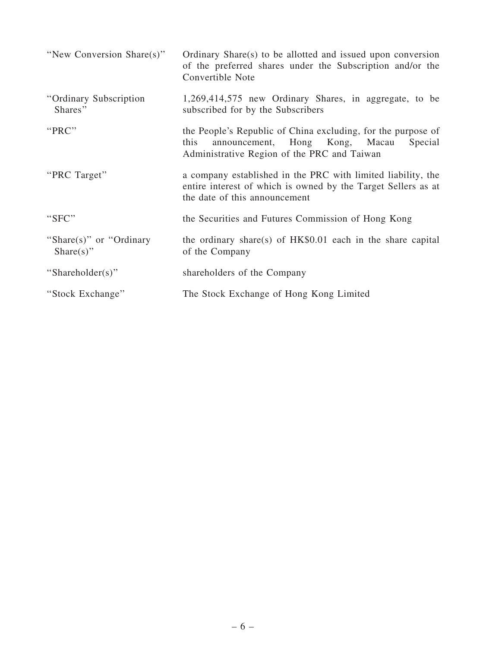| "New Conversion Share(s)"                    | Ordinary Share(s) to be allotted and issued upon conversion<br>of the preferred shares under the Subscription and/or the<br>Convertible Note                     |
|----------------------------------------------|------------------------------------------------------------------------------------------------------------------------------------------------------------------|
| "Ordinary Subscription"<br>Shares"           | 1,269,414,575 new Ordinary Shares, in aggregate, to be<br>subscribed for by the Subscribers                                                                      |
| "PRC"                                        | the People's Republic of China excluding, for the purpose of<br>announcement, Hong Kong, Macau<br>this<br>Special<br>Administrative Region of the PRC and Taiwan |
| "PRC Target"                                 | a company established in the PRC with limited liability, the<br>entire interest of which is owned by the Target Sellers as at<br>the date of this announcement   |
| "SFC"                                        | the Securities and Futures Commission of Hong Kong                                                                                                               |
| "Share $(s)$ " or "Ordinary"<br>$Share(s)$ " | the ordinary share(s) of $HK$0.01$ each in the share capital<br>of the Company                                                                                   |
| "Shareholder(s)"                             | shareholders of the Company                                                                                                                                      |
| "Stock Exchange"                             | The Stock Exchange of Hong Kong Limited                                                                                                                          |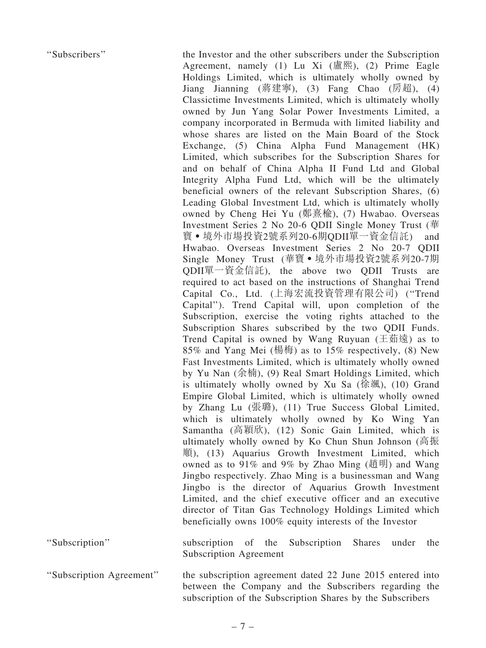''Subscribers'' the Investor and the other subscribers under the Subscription Agreement, namely  $(1)$  Lu Xi  $(\nightharpoonup \mathbb{R}^m)$ ,  $(2)$  Prime Eagle Holdings Limited, which is ultimately wholly owned by Jiang Jianning (蔣建寧), (3) Fang Chao (房超), (4) Classictime Investments Limited, which is ultimately wholly owned by Jun Yang Solar Power Investments Limited, a company incorporated in Bermuda with limited liability and whose shares are listed on the Main Board of the Stock Exchange, (5) China Alpha Fund Management (HK) Limited, which subscribes for the Subscription Shares for and on behalf of China Alpha II Fund Ltd and Global Integrity Alpha Fund Ltd, which will be the ultimately beneficial owners of the relevant Subscription Shares, (6) Leading Global Investment Ltd, which is ultimately wholly owned by Cheng Hei Yu (鄭熹楡), (7) Hwabao. Overseas Investment Series 2 No 20-6 QDII Single Money Trust (華 寶‧境外市場投資2號系列20-6期QDII單一資金信託) and Hwabao. Overseas Investment Series 2 No 20-7 QDII Single Money Trust (華寶 • 境外市場投資2號系列20-7期 QDII單一資金信託), the above two QDII Trusts are required to act based on the instructions of Shanghai Trend Capital Co., Ltd. (上海宏流投資管理有限公司) (''Trend Capital''). Trend Capital will, upon completion of the Subscription, exercise the voting rights attached to the Subscription Shares subscribed by the two QDII Funds. Trend Capital is owned by Wang Ruyuan  $(1 \pm \pi)$  as to 85% and Yang Mei (楊梅) as to 15% respectively, (8) New Fast Investments Limited, which is ultimately wholly owned by Yu Nan (余楠), (9) Real Smart Holdings Limited, which is ultimately wholly owned by  $Xu$  Sa (徐颯), (10) Grand Empire Global Limited, which is ultimately wholly owned by Zhang Lu (張璐), (11) True Success Global Limited, which is ultimately wholly owned by Ko Wing Yan Samantha (高穎欣), (12) Sonic Gain Limited, which is ultimately wholly owned by Ko Chun Shun Johnson (高振 順), (13) Aquarius Growth Investment Limited, which owned as to 91% and 9% by Zhao Ming (趙明) and Wang Jingbo respectively. Zhao Ming is a businessman and Wang Jingbo is the director of Aquarius Growth Investment Limited, and the chief executive officer and an executive director of Titan Gas Technology Holdings Limited which beneficially owns 100% equity interests of the Investor

''Subscription'' subscription of the Subscription Shares under the Subscription Agreement

''Subscription Agreement'' the subscription agreement dated 22 June 2015 entered into between the Company and the Subscribers regarding the subscription of the Subscription Shares by the Subscribers